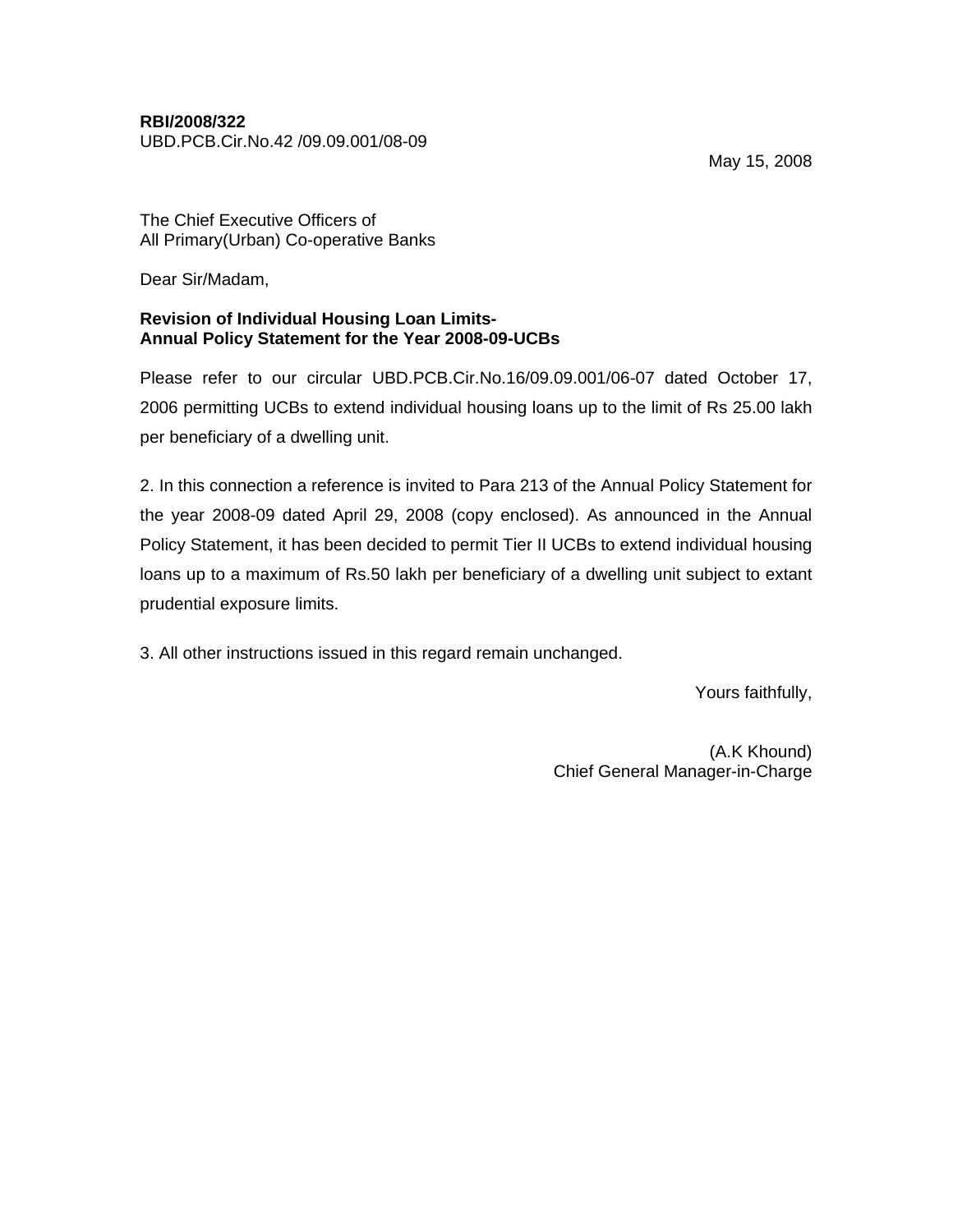## **RBI/2008/322**

UBD.PCB.Cir.No.42 /09.09.001/08-09

May 15, 2008

The Chief Executive Officers of All Primary(Urban) Co-operative Banks

Dear Sir/Madam,

## **Revision of Individual Housing Loan Limits-Annual Policy Statement for the Year 2008-09-UCBs**

Please refer to our circular UBD.PCB.Cir.No.16/09.09.001/06-07 dated October 17, 2006 permitting UCBs to extend individual housing loans up to the limit of Rs 25.00 lakh per beneficiary of a dwelling unit.

2. In this connection a reference is invited to Para 213 of the Annual Policy Statement for the year 2008-09 dated April 29, 2008 (copy enclosed). As announced in the Annual Policy Statement, it has been decided to permit Tier II UCBs to extend individual housing loans up to a maximum of Rs.50 lakh per beneficiary of a dwelling unit subject to extant prudential exposure limits.

3. All other instructions issued in this regard remain unchanged.

Yours faithfully,

(A.K Khound) Chief General Manager-in-Charge